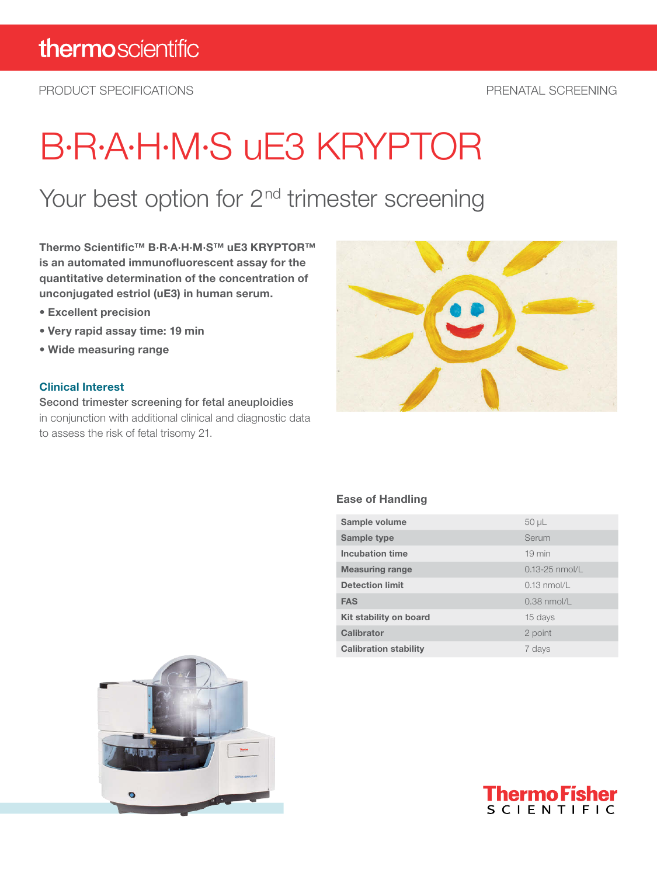PRODUCT SPECIFICATIONS PRENATAL SCREENING

# B·R·A·H·M·S uE3 KRYPTOR

## Your best option for 2<sup>nd</sup> trimester screening

Thermo Scientific™ B·R·A·H·M·S™ uE3 KRYPTOR™ is an automated immunofluorescent assay for the quantitative determination of the concentration of unconjugated estriol (uE3) in human serum.

- Excellent precision
- Very rapid assay time: 19 min
- Wide measuring range

#### Clinical Interest

Second trimester screening for fetal aneuploidies in conjunction with additional clinical and diagnostic data to assess the risk of fetal trisomy 21.



#### Ease of Handling

| Sample volume                | $50 \mu L$         |
|------------------------------|--------------------|
| Sample type                  | Serum              |
| Incubation time              | $19 \text{ min}$   |
| <b>Measuring range</b>       | $0.13 - 25$ nmol/L |
| <b>Detection limit</b>       | $0.13$ nmol/l      |
| <b>FAS</b>                   | $0.38$ nmol/L      |
| Kit stability on board       | 15 days            |
| Calibrator                   | 2 point            |
| <b>Calibration stability</b> | 7 days             |